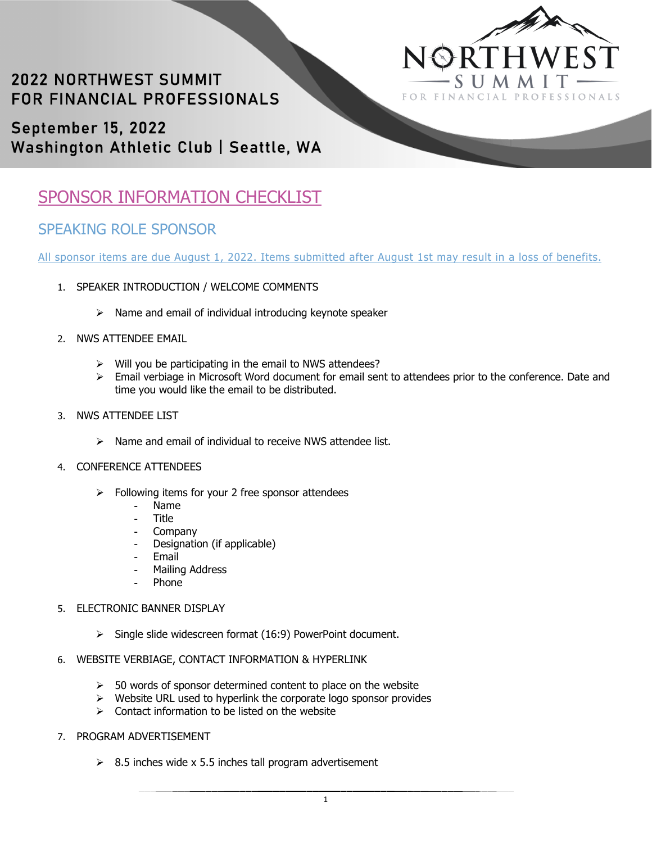

# **2022 NORTHWEST SUMMIT** FOR FINANCIAL PROFESSIONALS

September 15, 2022 Washington Athletic Club | Seattle, WA

## SPONSOR INFORMATION CHECKLIST

### SPEAKING ROLE SPONSOR

All sponsor items are due August 1, 2022. Items submitted after August 1st may result in a loss of benefits.

- 1. SPEAKER INTRODUCTION / WELCOME COMMENTS
	- $\triangleright$  Name and email of individual introducing keynote speaker
- 2. NWS ATTENDEE EMAIL
	- $\triangleright$  Will you be participating in the email to NWS attendees?
	- $\triangleright$  Email verbiage in Microsoft Word document for email sent to attendees prior to the conference. Date and time you would like the email to be distributed.
- 3. NWS ATTENDEE LIST
	- $\triangleright$  Name and email of individual to receive NWS attendee list.
- 4. CONFERENCE ATTENDEES
	- $\triangleright$  Following items for your 2 free sponsor attendees
		- Name
		- Title
		- **Company**
		- Designation (if applicable)
		- **Email**
		- Mailing Address
		- Phone

#### 5. ELECTRONIC BANNER DISPLAY

- $\triangleright$  Single slide widescreen format (16:9) PowerPoint document.
- 6. WEBSITE VERBIAGE, CONTACT INFORMATION & HYPERLINK
	- $>$  50 words of sponsor determined content to place on the website
	- $\triangleright$  Website URL used to hyperlink the corporate logo sponsor provides
	- $\triangleright$  Contact information to be listed on the website
- 7. PROGRAM ADVERTISEMENT
	- $\geq$  8.5 inches wide x 5.5 inches tall program advertisement